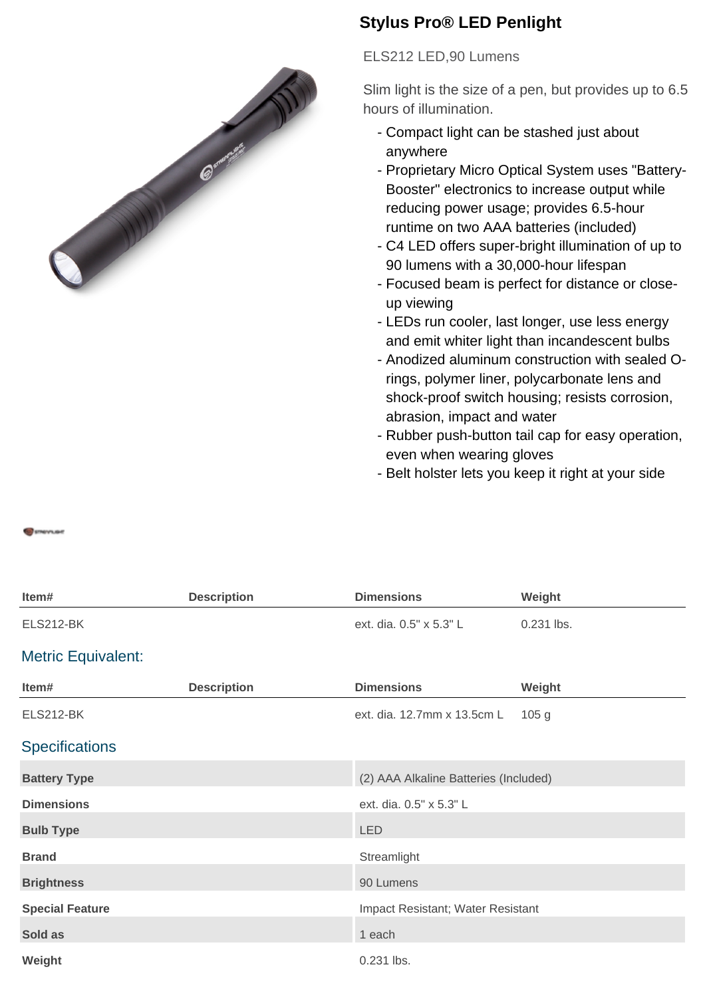

## **Stylus Pro® LED Penlight**

ELS212 LED,90 Lumens

Slim light is the size of a pen, but provides up to 6.5 hours of illumination.

- Compact light can be stashed just about anywhere
- Proprietary Micro Optical System uses "Battery-Booster" electronics to increase output while reducing power usage; provides 6.5-hour runtime on two AAA batteries (included)
- C4 LED offers super-bright illumination of up to 90 lumens with a 30,000-hour lifespan
- Focused beam is perfect for distance or close- up viewing
- LEDs run cooler, last longer, use less energy and emit whiter light than incandescent bulbs
- Anodized aluminum construction with sealed O- rings, polymer liner, polycarbonate lens and shock-proof switch housing; resists corrosion, abrasion, impact and water
- Rubber push-button tail cap for easy operation, even when wearing gloves
- Belt holster lets you keep it right at your side

**STREVILIBE** 

| Item#                     | <b>Description</b> | <b>Dimensions</b>                     | Weight           |
|---------------------------|--------------------|---------------------------------------|------------------|
| <b>ELS212-BK</b>          |                    | ext. dia. 0.5" x 5.3" L               | 0.231 lbs.       |
| <b>Metric Equivalent:</b> |                    |                                       |                  |
| Item#                     | <b>Description</b> | <b>Dimensions</b>                     | Weight           |
| <b>ELS212-BK</b>          |                    | ext. dia. 12.7mm x 13.5cm L           | 105 <sub>g</sub> |
| <b>Specifications</b>     |                    |                                       |                  |
| <b>Battery Type</b>       |                    | (2) AAA Alkaline Batteries (Included) |                  |
| <b>Dimensions</b>         |                    | ext. dia. 0.5" x 5.3" L               |                  |
| <b>Bulb Type</b>          |                    | <b>LED</b>                            |                  |
| <b>Brand</b>              |                    | Streamlight                           |                  |
| <b>Brightness</b>         |                    | 90 Lumens                             |                  |
| <b>Special Feature</b>    |                    | Impact Resistant; Water Resistant     |                  |
| Sold as                   |                    | 1 each                                |                  |
| Weight                    |                    | 0.231 lbs.                            |                  |